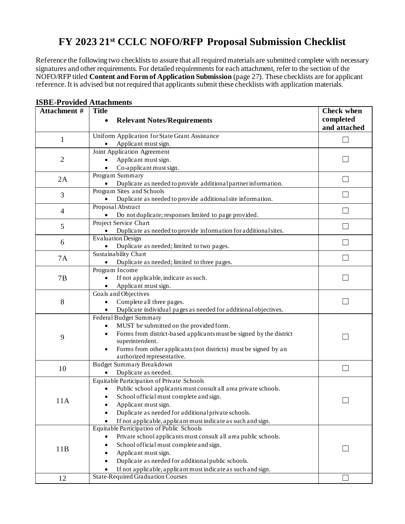## **FY 2023 21st CCLC NOFO/RFP Proposal Submission Checklist**

Reference the following two checklists to assure that all required materials are submitted complete with necessary signatures and other requirements. For detailed requirements for each attachment, refer to the section of the NOFO/RFP titled **Content and Form of Application Submission** (page 27). These checklists are for applicant reference. It is advised but not required that applicants submit these checklists with application materials.

| Attachment # | <b>Title</b>                                                                                               | <b>Check when</b>        |
|--------------|------------------------------------------------------------------------------------------------------------|--------------------------|
|              | <b>Relevant Notes/Requirements</b><br>$\bullet$                                                            | completed                |
|              |                                                                                                            | and attached             |
| $\mathbf{1}$ | Uniform Application for State Grant Assistance                                                             | П                        |
|              | Applicant must sign.                                                                                       |                          |
|              | Joint Application Agreement                                                                                |                          |
| 2            | Applicant must sign.<br>$\bullet$                                                                          | L.                       |
|              | Co-applicant must sign.<br>$\bullet$                                                                       |                          |
| 2A           | Program Summary                                                                                            | $\Box$                   |
|              | Duplicate as needed to provide additional partner information.<br>Program Sites and Schools                |                          |
| 3            | Duplicate as needed to provide additional site information.                                                |                          |
|              | Proposal Abstract                                                                                          |                          |
| 4            | Do not duplicate; responses limited to page provided.                                                      |                          |
|              | Project Service Chart                                                                                      |                          |
| 5            | Duplicate as needed to provide information for additional sites.                                           | $\Box$                   |
|              | <b>Evaluation Design</b>                                                                                   |                          |
| 6            | Duplicate as needed; limited to two pages.                                                                 |                          |
|              | Sustainability Chart                                                                                       | $\mathbf{L}$             |
| <b>7A</b>    | Duplicate as needed; limited to three pages.<br>$\bullet$                                                  |                          |
|              | Program Income                                                                                             |                          |
| 7B           | If not applicable, indicate as such.                                                                       |                          |
|              | Applicant must sign.<br>$\bullet$                                                                          |                          |
|              | Goals and Objectives                                                                                       |                          |
| 8            | Complete all three pages.<br>$\bullet$                                                                     | $\overline{\phantom{a}}$ |
|              | Duplicate individual pages as needed for additional objectives.<br>$\bullet$<br>Federal Budget Summary     |                          |
|              | MUST be submitted on the provided form.<br>$\bullet$                                                       |                          |
|              | Forms from district-based applicants must be signed by the district<br>$\bullet$                           |                          |
| 9            | superintendent.                                                                                            |                          |
|              | Forms from other applicants (not districts) must be signed by an                                           |                          |
|              | authorized representative.                                                                                 |                          |
| 10           | <b>Budget Summary Breakdown</b>                                                                            | $\Box$                   |
|              | Duplicate as needed.                                                                                       |                          |
|              | Equitable Participation of Private Schools                                                                 |                          |
|              | Public school applicants must consult all area private schools.<br>$\bullet$                               |                          |
| 11A          | School official must complete and sign.<br>$\bullet$                                                       |                          |
|              | Applicant must sign.<br>٠                                                                                  |                          |
|              | Duplicate as needed for additional private schools.                                                        |                          |
|              | If not applicable, applicant must indicate as such and sign.                                               |                          |
| 11B          | Equitable Participation of Public Schools                                                                  |                          |
|              | Private school applicants must consult all area public schools.<br>School official must complete and sign. |                          |
|              | Applicant must sign.<br>$\bullet$                                                                          |                          |
|              | Duplicate as needed for additional public schools.                                                         |                          |
|              | If not applicable, applicant must indicate as such and sign.                                               |                          |
| 12           | <b>State-Required Graduation Courses</b>                                                                   |                          |
|              |                                                                                                            |                          |

## **ISBE-Provided Attachments**